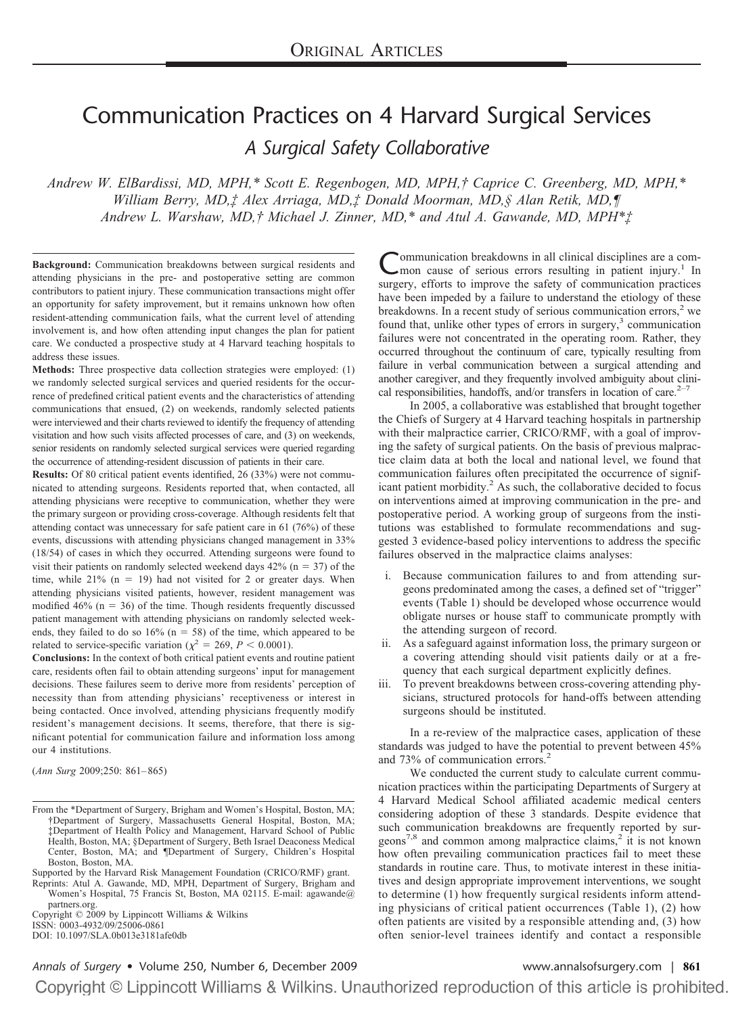# Communication Practices on 4 Harvard Surgical Services *A Surgical Safety Collaborative*

*Andrew W. ElBardissi, MD, MPH,\* Scott E. Regenbogen, MD, MPH,† Caprice C. Greenberg, MD, MPH,\* William Berry, MD,‡ Alex Arriaga, MD,‡ Donald Moorman, MD,§ Alan Retik, MD,¶ Andrew L. Warshaw, MD,† Michael J. Zinner, MD,\* and Atul A. Gawande, MD, MPH\*‡*

**Background:** Communication breakdowns between surgical residents and attending physicians in the pre- and postoperative setting are common contributors to patient injury. These communication transactions might offer an opportunity for safety improvement, but it remains unknown how often resident-attending communication fails, what the current level of attending involvement is, and how often attending input changes the plan for patient care. We conducted a prospective study at 4 Harvard teaching hospitals to address these issues.

**Methods:** Three prospective data collection strategies were employed: (1) we randomly selected surgical services and queried residents for the occurrence of predefined critical patient events and the characteristics of attending communications that ensued, (2) on weekends, randomly selected patients were interviewed and their charts reviewed to identify the frequency of attending visitation and how such visits affected processes of care, and (3) on weekends, senior residents on randomly selected surgical services were queried regarding the occurrence of attending-resident discussion of patients in their care.

**Results:** Of 80 critical patient events identified, 26 (33%) were not communicated to attending surgeons. Residents reported that, when contacted, all attending physicians were receptive to communication, whether they were the primary surgeon or providing cross-coverage. Although residents felt that attending contact was unnecessary for safe patient care in 61 (76%) of these events, discussions with attending physicians changed management in 33% (18/54) of cases in which they occurred. Attending surgeons were found to visit their patients on randomly selected weekend days  $42\%$  (n = 37) of the time, while  $21\%$  (n = 19) had not visited for 2 or greater days. When attending physicians visited patients, however, resident management was modified  $46\%$  (n = 36) of the time. Though residents frequently discussed patient management with attending physicians on randomly selected weekends, they failed to do so  $16\%$  (n = 58) of the time, which appeared to be related to service-specific variation ( $\chi^2 = 269$ ,  $P < 0.0001$ ).

**Conclusions:** In the context of both critical patient events and routine patient care, residents often fail to obtain attending surgeons' input for management decisions. These failures seem to derive more from residents' perception of necessity than from attending physicians' receptiveness or interest in being contacted. Once involved, attending physicians frequently modify resident's management decisions. It seems, therefore, that there is significant potential for communication failure and information loss among our 4 institutions.

(*Ann Surg* 2009;250: 861– 865)

Copyright © 2009 by Lippincott Williams & Wilkins ISSN: 0003-4932/09/25006-0861 DOI: 10.1097/SLA.0b013e3181afe0db

Communication breakdowns in all clinical disciplines are a com-<br>mon cause of serious errors resulting in patient injury.<sup>1</sup> In surgery, efforts to improve the safety of communication practices have been impeded by a failure to understand the etiology of these breakdowns. In a recent study of serious communication errors, $2$  we found that, unlike other types of errors in surgery, $3$  communication failures were not concentrated in the operating room. Rather, they occurred throughout the continuum of care, typically resulting from failure in verbal communication between a surgical attending and another caregiver, and they frequently involved ambiguity about clinical responsibilities, handoffs, and/or transfers in location of care. $2^{-7}$ 

In 2005, a collaborative was established that brought together the Chiefs of Surgery at 4 Harvard teaching hospitals in partnership with their malpractice carrier, CRICO/RMF, with a goal of improving the safety of surgical patients. On the basis of previous malpractice claim data at both the local and national level, we found that communication failures often precipitated the occurrence of significant patient morbidity.<sup>2</sup> As such, the collaborative decided to focus on interventions aimed at improving communication in the pre- and postoperative period. A working group of surgeons from the institutions was established to formulate recommendations and suggested 3 evidence-based policy interventions to address the specific failures observed in the malpractice claims analyses:

- i. Because communication failures to and from attending surgeons predominated among the cases, a defined set of "trigger" events (Table 1) should be developed whose occurrence would obligate nurses or house staff to communicate promptly with the attending surgeon of record.
- ii. As a safeguard against information loss, the primary surgeon or a covering attending should visit patients daily or at a frequency that each surgical department explicitly defines.
- iii. To prevent breakdowns between cross-covering attending physicians, structured protocols for hand-offs between attending surgeons should be instituted.

In a re-review of the malpractice cases, application of these standards was judged to have the potential to prevent between 45% and 73% of communication errors.<sup>2</sup>

We conducted the current study to calculate current communication practices within the participating Departments of Surgery at 4 Harvard Medical School affiliated academic medical centers considering adoption of these 3 standards. Despite evidence that such communication breakdowns are frequently reported by sur- $\text{geons}^{7,8}$  and common among malpractice claims,<sup>2</sup> it is not known how often prevailing communication practices fail to meet these standards in routine care. Thus, to motivate interest in these initiatives and design appropriate improvement interventions, we sought to determine (1) how frequently surgical residents inform attending physicians of critical patient occurrences (Table 1), (2) how often patients are visited by a responsible attending and, (3) how often senior-level trainees identify and contact a responsible

## *Annals of Surgery* • Volume 250, Number 6, December 2009 [www.annalsofsurgery.com](http://www.annalsofsurgery.com) | **861**

From the \*Department of Surgery, Brigham and Women's Hospital, Boston, MA; †Department of Surgery, Massachusetts General Hospital, Boston, MA; ‡Department of Health Policy and Management, Harvard School of Public Health, Boston, MA; §Department of Surgery, Beth Israel Deaconess Medical Center, Boston, MA; and ¶Department of Surgery, Children's Hospital Boston, Boston, MA.

Supported by the Harvard Risk Management Foundation (CRICO/RMF) grant.

Reprints: Atul A. Gawande, MD, MPH, Department of Surgery, Brigham and Women's Hospital, 75 Francis St, Boston, MA 02115. E-mail: agawande@ partners.org.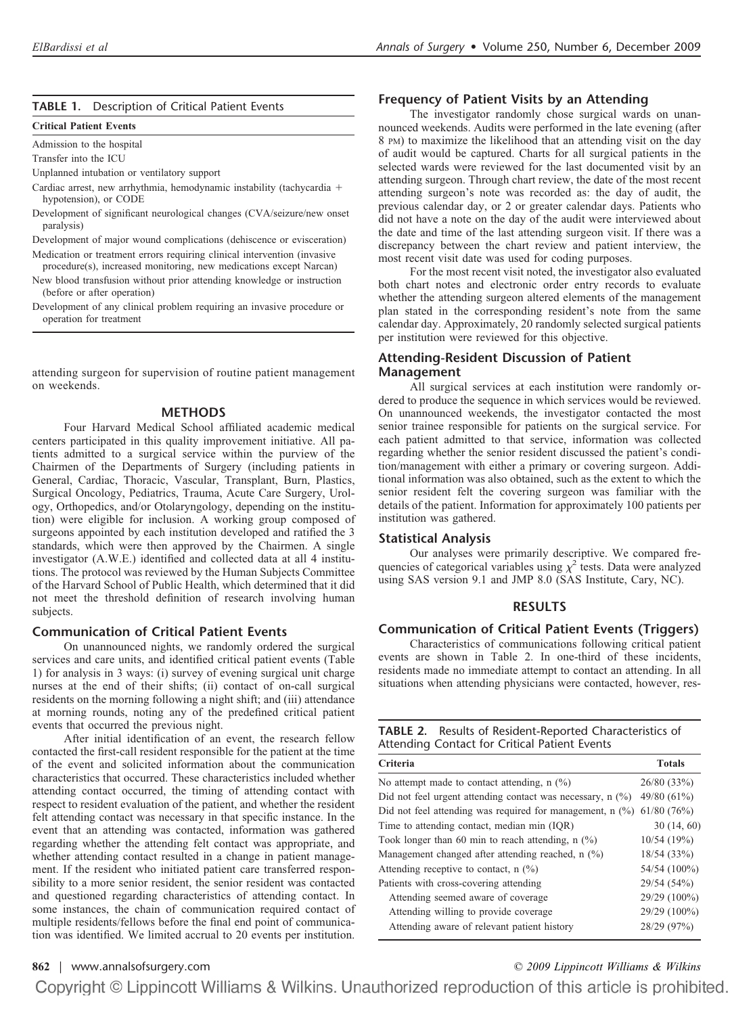#### **TABLE 1.** Description of Critical Patient Events

#### **Critical Patient Events**

Admission to the hospital

Transfer into the ICU

Unplanned intubation or ventilatory support

- Cardiac arrest, new arrhythmia, hemodynamic instability (tachycardia + hypotension), or CODE
- Development of significant neurological changes (CVA/seizure/new onset paralysis)
- Development of major wound complications (dehiscence or evisceration) Medication or treatment errors requiring clinical intervention (invasive

procedure(s), increased monitoring, new medications except Narcan)

- New blood transfusion without prior attending knowledge or instruction (before or after operation)
- Development of any clinical problem requiring an invasive procedure or operation for treatment

attending surgeon for supervision of routine patient management on weekends.

#### **METHODS**

Four Harvard Medical School affiliated academic medical centers participated in this quality improvement initiative. All patients admitted to a surgical service within the purview of the Chairmen of the Departments of Surgery (including patients in General, Cardiac, Thoracic, Vascular, Transplant, Burn, Plastics, Surgical Oncology, Pediatrics, Trauma, Acute Care Surgery, Urology, Orthopedics, and/or Otolaryngology, depending on the institution) were eligible for inclusion. A working group composed of surgeons appointed by each institution developed and ratified the 3 standards, which were then approved by the Chairmen. A single investigator (A.W.E.) identified and collected data at all 4 institutions. The protocol was reviewed by the Human Subjects Committee of the Harvard School of Public Health, which determined that it did not meet the threshold definition of research involving human subjects.

#### **Communication of Critical Patient Events**

On unannounced nights, we randomly ordered the surgical services and care units, and identified critical patient events (Table 1) for analysis in 3 ways: (i) survey of evening surgical unit charge nurses at the end of their shifts; (ii) contact of on-call surgical residents on the morning following a night shift; and (iii) attendance at morning rounds, noting any of the predefined critical patient events that occurred the previous night.

After initial identification of an event, the research fellow contacted the first-call resident responsible for the patient at the time of the event and solicited information about the communication characteristics that occurred. These characteristics included whether attending contact occurred, the timing of attending contact with respect to resident evaluation of the patient, and whether the resident felt attending contact was necessary in that specific instance. In the event that an attending was contacted, information was gathered regarding whether the attending felt contact was appropriate, and whether attending contact resulted in a change in patient management. If the resident who initiated patient care transferred responsibility to a more senior resident, the senior resident was contacted and questioned regarding characteristics of attending contact. In some instances, the chain of communication required contact of multiple residents/fellows before the final end point of communication was identified. We limited accrual to 20 events per institution.

#### **Frequency of Patient Visits by an Attending**

The investigator randomly chose surgical wards on unannounced weekends. Audits were performed in the late evening (after 8 PM) to maximize the likelihood that an attending visit on the day of audit would be captured. Charts for all surgical patients in the selected wards were reviewed for the last documented visit by an attending surgeon. Through chart review, the date of the most recent attending surgeon's note was recorded as: the day of audit, the previous calendar day, or 2 or greater calendar days. Patients who did not have a note on the day of the audit were interviewed about the date and time of the last attending surgeon visit. If there was a discrepancy between the chart review and patient interview, the most recent visit date was used for coding purposes.

For the most recent visit noted, the investigator also evaluated both chart notes and electronic order entry records to evaluate whether the attending surgeon altered elements of the management plan stated in the corresponding resident's note from the same calendar day. Approximately, 20 randomly selected surgical patients per institution were reviewed for this objective.

#### **Attending-Resident Discussion of Patient Management**

All surgical services at each institution were randomly ordered to produce the sequence in which services would be reviewed. On unannounced weekends, the investigator contacted the most senior trainee responsible for patients on the surgical service. For each patient admitted to that service, information was collected regarding whether the senior resident discussed the patient's condition/management with either a primary or covering surgeon. Additional information was also obtained, such as the extent to which the senior resident felt the covering surgeon was familiar with the details of the patient. Information for approximately 100 patients per institution was gathered.

#### **Statistical Analysis**

Our analyses were primarily descriptive. We compared frequencies of categorical variables using  $\chi^2$  tests. Data were analyzed using SAS version 9.1 and JMP 8.0 (SAS Institute, Cary, NC).

#### **RESULTS**

### **Communication of Critical Patient Events (Triggers)**

Characteristics of communications following critical patient events are shown in Table 2. In one-third of these incidents, residents made no immediate attempt to contact an attending. In all situations when attending physicians were contacted, however, res-

| TABLE 2. Results of Resident-Reported Characteristics of |
|----------------------------------------------------------|
| Attending Contact for Critical Patient Events            |

| Criteria                                                     | <b>Totals</b> |
|--------------------------------------------------------------|---------------|
| No attempt made to contact attending, $n$ (%)                | 26/80 (33%)   |
| Did not feel urgent attending contact was necessary, $n$ (%) | 49/80 (61%)   |
| Did not feel attending was required for management, $n$ (%)  | 61/80(76%)    |
| Time to attending contact, median min (IOR)                  | 30(14, 60)    |
| Took longer than 60 min to reach attending, $n$ (%)          | 10/54(19%)    |
| Management changed after attending reached, n (%)            | 18/54(33%)    |
| Attending receptive to contact, $n$ (%)                      | 54/54 (100%)  |
| Patients with cross-covering attending                       | 29/54 (54%)   |
| Attending seemed aware of coverage                           | 29/29 (100%)  |
| Attending willing to provide coverage.                       | 29/29 (100%)  |
| Attending aware of relevant patient history                  | 28/29 (97%)   |

**862** | [www.annalsofsurgery.com](http://www.annalsofsurgery.com) *© 2009 Lippincott Williams & Wilkins*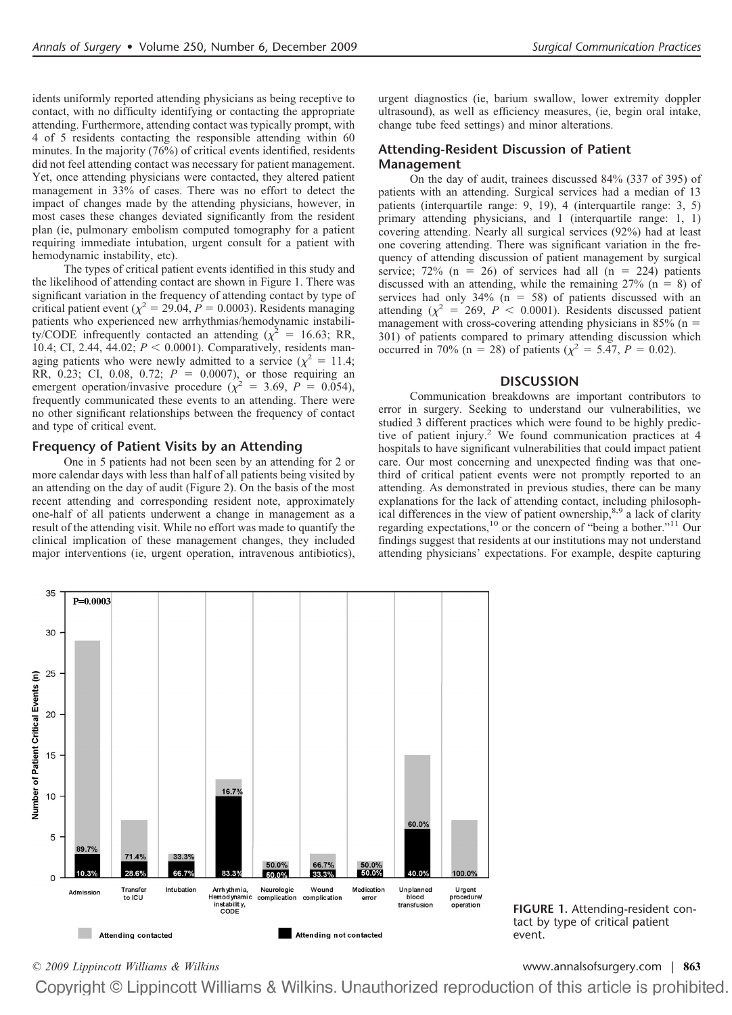idents uniformly reported attending physicians as being receptive to contact, with no difficulty identifying or contacting the appropriate attending. Furthermore, attending contact was typically prompt, with 4 of 5 residents contacting the responsible attending within 60 minutes. In the majority (76%) of critical events identified, residents did not feel attending contact was necessary for patient management. Yet, once attending physicians were contacted, they altered patient management in 33% of cases. There was no effort to detect the impact of changes made by the attending physicians, however, in most cases these changes deviated significantly from the resident plan (ie, pulmonary embolism computed tomography for a patient requiring immediate intubation, urgent consult for a patient with hemodynamic instability, etc).

The types of critical patient events identified in this study and the likelihood of attending contact are shown in Figure 1. There was significant variation in the frequency of attending contact by type of critical patient event ( $\chi^2$  = 29.04, *P* = 0.0003). Residents managing patients who experienced new arrhythmias/hemodynamic instability/CODE infrequently contacted an attending ( $\chi^2$  = 16.63; RR, 10.4; CI, 2.44, 44.02;  $P < 0.0001$ ). Comparatively, residents managing patients who were newly admitted to a service ( $\chi^2 = 11.4$ ; RR, 0.23; CI, 0.08, 0.72;  $P = 0.0007$ ), or those requiring an emergent operation/invasive procedure  $(\chi^2 = 3.69, P = 0.054)$ , frequently communicated these events to an attending. There were no other significant relationships between the frequency of contact and type of critical event.

#### **Frequency of Patient Visits by an Attending**

One in 5 patients had not been seen by an attending for 2 or more calendar days with less than half of all patients being visited by an attending on the day of audit (Figure 2). On the basis of the most recent attending and corresponding resident note, approximately one-half of all patients underwent a change in management as a result of the attending visit. While no effort was made to quantify the clinical implication of these management changes, they included major interventions (ie, urgent operation, intravenous antibiotics), urgent diagnostics (ie, barium swallow, lower extremity doppler ultrasound), as well as efficiency measures, (ie, begin oral intake, change tube feed settings) and minor alterations.

#### **Attending-Resident Discussion of Patient Management**

On the day of audit, trainees discussed 84% (337 of 395) of patients with an attending. Surgical services had a median of 13 patients (interquartile range: 9, 19), 4 (interquartile range: 3, 5) primary attending physicians, and 1 (interquartile range: 1, 1) covering attending. Nearly all surgical services (92%) had at least one covering attending. There was significant variation in the frequency of attending discussion of patient management by surgical service; 72% ( $n = 26$ ) of services had all ( $n = 224$ ) patients discussed with an attending, while the remaining  $27\%$  (n = 8) of services had only  $34\%$  (n = 58) of patients discussed with an attending ( $\chi^2$  = 269, *P* < 0.0001). Residents discussed patient management with cross-covering attending physicians in 85% ( $n =$ 301) of patients compared to primary attending discussion which occurred in 70% (n = 28) of patients ( $\chi^2$  = 5.47, *P* = 0.02).

#### **DISCUSSION**

Communication breakdowns are important contributors to error in surgery. Seeking to understand our vulnerabilities, we studied 3 different practices which were found to be highly predictive of patient injury.<sup>2</sup> We found communication practices at 4 hospitals to have significant vulnerabilities that could impact patient care. Our most concerning and unexpected finding was that onethird of critical patient events were not promptly reported to an attending. As demonstrated in previous studies, there can be many explanations for the lack of attending contact, including philosophical differences in the view of patient ownership,<sup>8,9</sup> a lack of clarity regarding expectations,<sup>10</sup> or the concern of "being a bother."<sup>11</sup> Our findings suggest that residents at our institutions may not understand attending physicians' expectations. For example, despite capturing



**FIGURE 1.** Attending-resident contact by type of critical patient event.

*© 2009 Lippincott Williams & Wilkins* [www.annalsofsurgery.com](http://www.annalsofsurgery.com) | **863**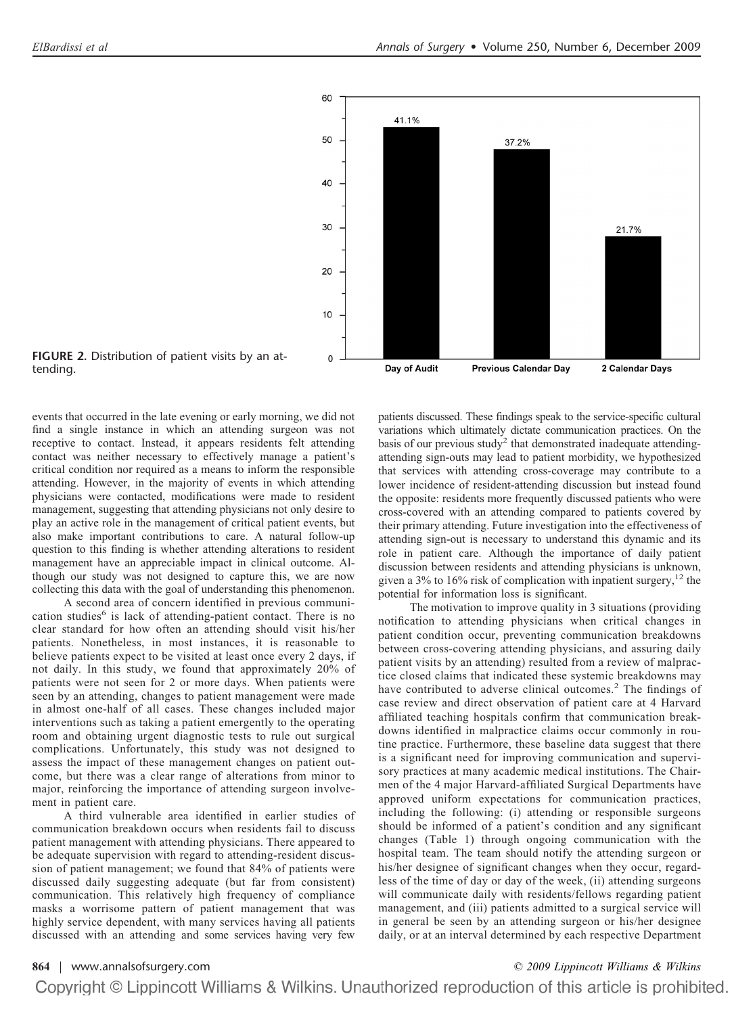

**FIGURE 2.** Distribution of patient visits by an attending.

events that occurred in the late evening or early morning, we did not find a single instance in which an attending surgeon was not receptive to contact. Instead, it appears residents felt attending contact was neither necessary to effectively manage a patient's critical condition nor required as a means to inform the responsible attending. However, in the majority of events in which attending physicians were contacted, modifications were made to resident management, suggesting that attending physicians not only desire to play an active role in the management of critical patient events, but also make important contributions to care. A natural follow-up question to this finding is whether attending alterations to resident management have an appreciable impact in clinical outcome. Although our study was not designed to capture this, we are now collecting this data with the goal of understanding this phenomenon.

A second area of concern identified in previous communication studies<sup>6</sup> is lack of attending-patient contact. There is no clear standard for how often an attending should visit his/her patients. Nonetheless, in most instances, it is reasonable to believe patients expect to be visited at least once every 2 days, if not daily. In this study, we found that approximately 20% of patients were not seen for 2 or more days. When patients were seen by an attending, changes to patient management were made in almost one-half of all cases. These changes included major interventions such as taking a patient emergently to the operating room and obtaining urgent diagnostic tests to rule out surgical complications. Unfortunately, this study was not designed to assess the impact of these management changes on patient outcome, but there was a clear range of alterations from minor to major, reinforcing the importance of attending surgeon involvement in patient care.

A third vulnerable area identified in earlier studies of communication breakdown occurs when residents fail to discuss patient management with attending physicians. There appeared to be adequate supervision with regard to attending-resident discussion of patient management; we found that 84% of patients were discussed daily suggesting adequate (but far from consistent) communication. This relatively high frequency of compliance masks a worrisome pattern of patient management that was highly service dependent, with many services having all patients discussed with an attending and some services having very few

patients discussed. These findings speak to the service-specific cultural variations which ultimately dictate communication practices. On the basis of our previous study<sup>2</sup> that demonstrated inadequate attendingattending sign-outs may lead to patient morbidity, we hypothesized that services with attending cross-coverage may contribute to a lower incidence of resident-attending discussion but instead found the opposite: residents more frequently discussed patients who were cross-covered with an attending compared to patients covered by their primary attending. Future investigation into the effectiveness of attending sign-out is necessary to understand this dynamic and its role in patient care. Although the importance of daily patient discussion between residents and attending physicians is unknown, given a 3% to 16% risk of complication with inpatient surgery, $12$  the potential for information loss is significant.

The motivation to improve quality in 3 situations (providing notification to attending physicians when critical changes in patient condition occur, preventing communication breakdowns between cross-covering attending physicians, and assuring daily patient visits by an attending) resulted from a review of malpractice closed claims that indicated these systemic breakdowns may have contributed to adverse clinical outcomes.<sup>2</sup> The findings of case review and direct observation of patient care at 4 Harvard affiliated teaching hospitals confirm that communication breakdowns identified in malpractice claims occur commonly in routine practice. Furthermore, these baseline data suggest that there is a significant need for improving communication and supervisory practices at many academic medical institutions. The Chairmen of the 4 major Harvard-affiliated Surgical Departments have approved uniform expectations for communication practices, including the following: (i) attending or responsible surgeons should be informed of a patient's condition and any significant changes (Table 1) through ongoing communication with the hospital team. The team should notify the attending surgeon or his/her designee of significant changes when they occur, regardless of the time of day or day of the week, (ii) attending surgeons will communicate daily with residents/fellows regarding patient management, and (iii) patients admitted to a surgical service will in general be seen by an attending surgeon or his/her designee daily, or at an interval determined by each respective Department

#### **864** | [www.annalsofsurgery.com](http://www.annalsofsurgery.com) *© 2009 Lippincott Williams & Wilkins*